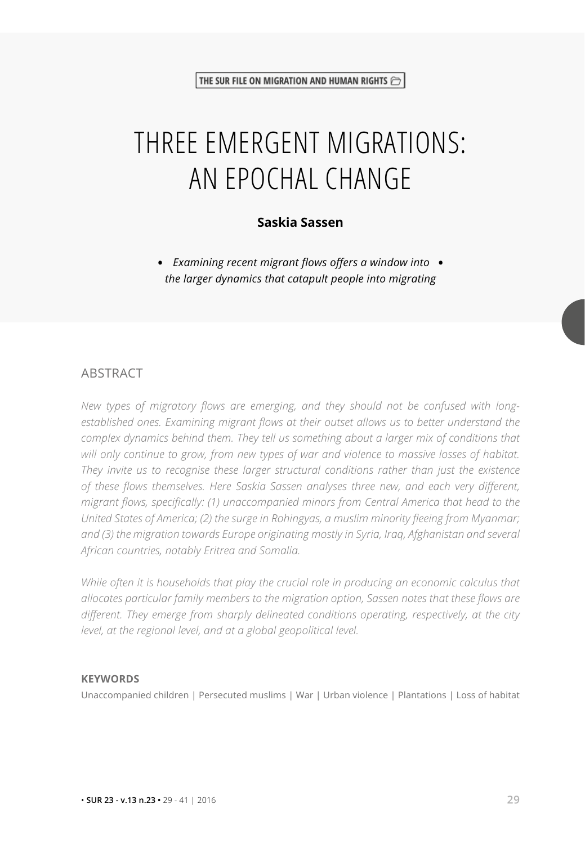# THREE EMERGENT MIGRATIONS: AN EPOCHAL CHANGE

#### **Saskia Sassen**

**•** *Examining recent migrant flows offers a window into* **•** *the larger dynamics that catapult people into migrating*

#### **ABSTRACT**

*New types of migratory flows are emerging, and they should not be confused with longestablished ones. Examining migrant flows at their outset allows us to better understand the complex dynamics behind them. They tell us something about a larger mix of conditions that will only continue to grow, from new types of war and violence to massive losses of habitat. They invite us to recognise these larger structural conditions rather than just the existence of these flows themselves. Here Saskia Sassen analyses three new, and each very different, migrant flows, specifically: (1) unaccompanied minors from Central America that head to the United States of America; (2) the surge in Rohingyas, a muslim minority fleeing from Myanmar; and (3) the migration towards Europe originating mostly in Syria, Iraq, Afghanistan and several African countries, notably Eritrea and Somalia.* 

*While often it is households that play the crucial role in producing an economic calculus that allocates particular family members to the migration option, Sassen notes that these flows are different. They emerge from sharply delineated conditions operating, respectively, at the city level, at the regional level, and at a global geopolitical level.*

#### **KEYWORDS**

Unaccompanied children | Persecuted muslims | War | Urban violence | Plantations | Loss of habitat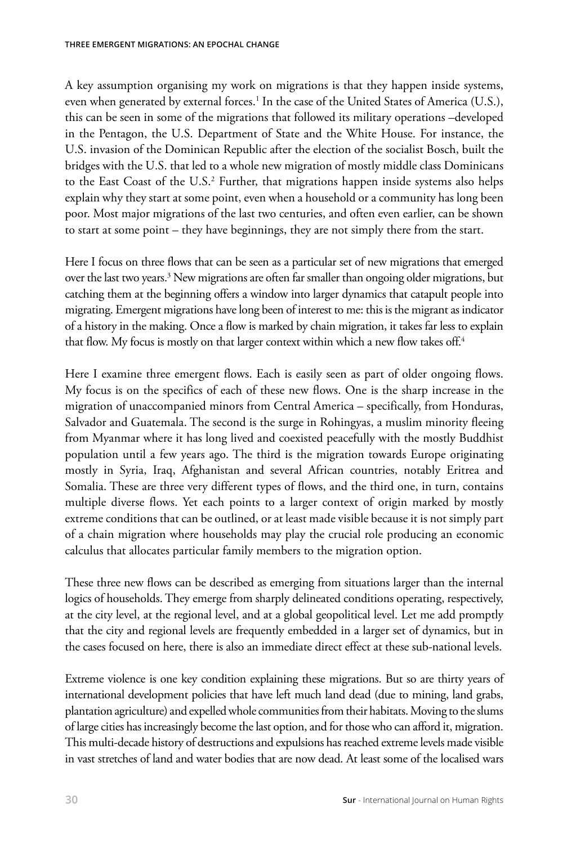A key assumption organising my work on migrations is that they happen inside systems, even when generated by external forces.<sup>1</sup> In the case of the United States of America (U.S.), this can be seen in some of the migrations that followed its military operations –developed in the Pentagon, the U.S. Department of State and the White House. For instance, the U.S. invasion of the Dominican Republic after the election of the socialist Bosch, built the bridges with the U.S. that led to a whole new migration of mostly middle class Dominicans to the East Coast of the U.S.<sup>2</sup> Further, that migrations happen inside systems also helps explain why they start at some point, even when a household or a community has long been poor. Most major migrations of the last two centuries, and often even earlier, can be shown to start at some point – they have beginnings, they are not simply there from the start.

Here I focus on three flows that can be seen as a particular set of new migrations that emerged over the last two years.<sup>3</sup> New migrations are often far smaller than ongoing older migrations, but catching them at the beginning offers a window into larger dynamics that catapult people into migrating. Emergent migrations have long been of interest to me: this is the migrant as indicator of a history in the making. Once a flow is marked by chain migration, it takes far less to explain that flow. My focus is mostly on that larger context within which a new flow takes off.<sup>4</sup>

Here I examine three emergent flows. Each is easily seen as part of older ongoing flows. My focus is on the specifics of each of these new flows. One is the sharp increase in the migration of unaccompanied minors from Central America – specifically, from Honduras, Salvador and Guatemala. The second is the surge in Rohingyas, a muslim minority fleeing from Myanmar where it has long lived and coexisted peacefully with the mostly Buddhist population until a few years ago. The third is the migration towards Europe originating mostly in Syria, Iraq, Afghanistan and several African countries, notably Eritrea and Somalia. These are three very different types of flows, and the third one, in turn, contains multiple diverse flows. Yet each points to a larger context of origin marked by mostly extreme conditions that can be outlined, or at least made visible because it is not simply part of a chain migration where households may play the crucial role producing an economic calculus that allocates particular family members to the migration option.

These three new flows can be described as emerging from situations larger than the internal logics of households. They emerge from sharply delineated conditions operating, respectively, at the city level, at the regional level, and at a global geopolitical level. Let me add promptly that the city and regional levels are frequently embedded in a larger set of dynamics, but in the cases focused on here, there is also an immediate direct effect at these sub-national levels.

Extreme violence is one key condition explaining these migrations. But so are thirty years of international development policies that have left much land dead (due to mining, land grabs, plantation agriculture) and expelled whole communities from their habitats. Moving to the slums of large cities has increasingly become the last option, and for those who can afford it, migration. This multi-decade history of destructions and expulsions has reached extreme levels made visible in vast stretches of land and water bodies that are now dead. At least some of the localised wars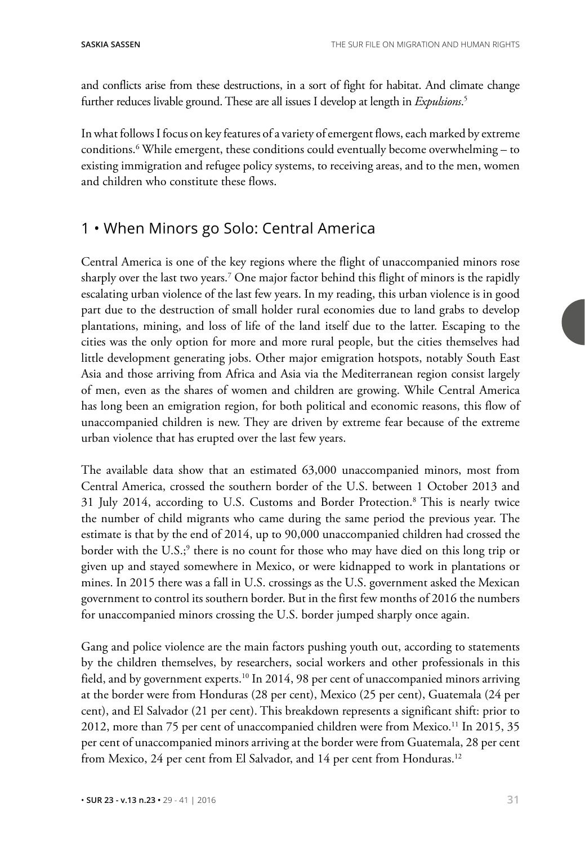and conflicts arise from these destructions, in a sort of fight for habitat. And climate change further reduces livable ground. These are all issues I develop at length in *Expulsions*. 5

In what follows I focus on key features of a variety of emergent flows, each marked by extreme conditions.6 While emergent, these conditions could eventually become overwhelming – to existing immigration and refugee policy systems, to receiving areas, and to the men, women and children who constitute these flows.

# 1 • When Minors go Solo: Central America

Central America is one of the key regions where the flight of unaccompanied minors rose sharply over the last two years.7 One major factor behind this flight of minors is the rapidly escalating urban violence of the last few years. In my reading, this urban violence is in good part due to the destruction of small holder rural economies due to land grabs to develop plantations, mining, and loss of life of the land itself due to the latter. Escaping to the cities was the only option for more and more rural people, but the cities themselves had little development generating jobs. Other major emigration hotspots, notably South East Asia and those arriving from Africa and Asia via the Mediterranean region consist largely of men, even as the shares of women and children are growing. While Central America has long been an emigration region, for both political and economic reasons, this flow of unaccompanied children is new. They are driven by extreme fear because of the extreme urban violence that has erupted over the last few years.

The available data show that an estimated 63,000 unaccompanied minors, most from Central America, crossed the southern border of the U.S. between 1 October 2013 and 31 July 2014, according to U.S. Customs and Border Protection.8 This is nearly twice the number of child migrants who came during the same period the previous year. The estimate is that by the end of 2014, up to 90,000 unaccompanied children had crossed the border with the U.S.;<sup>9</sup> there is no count for those who may have died on this long trip or given up and stayed somewhere in Mexico, or were kidnapped to work in plantations or mines. In 2015 there was a fall in U.S. crossings as the U.S. government asked the Mexican government to control its southern border. But in the first few months of 2016 the numbers for unaccompanied minors crossing the U.S. border jumped sharply once again.

Gang and police violence are the main factors pushing youth out, according to statements by the children themselves, by researchers, social workers and other professionals in this field, and by government experts.<sup>10</sup> In 2014, 98 per cent of unaccompanied minors arriving at the border were from Honduras (28 per cent), Mexico (25 per cent), Guatemala (24 per cent), and El Salvador (21 per cent). This breakdown represents a significant shift: prior to 2012, more than 75 per cent of unaccompanied children were from Mexico.<sup>11</sup> In 2015, 35 per cent of unaccompanied minors arriving at the border were from Guatemala, 28 per cent from Mexico, 24 per cent from El Salvador, and 14 per cent from Honduras.<sup>12</sup>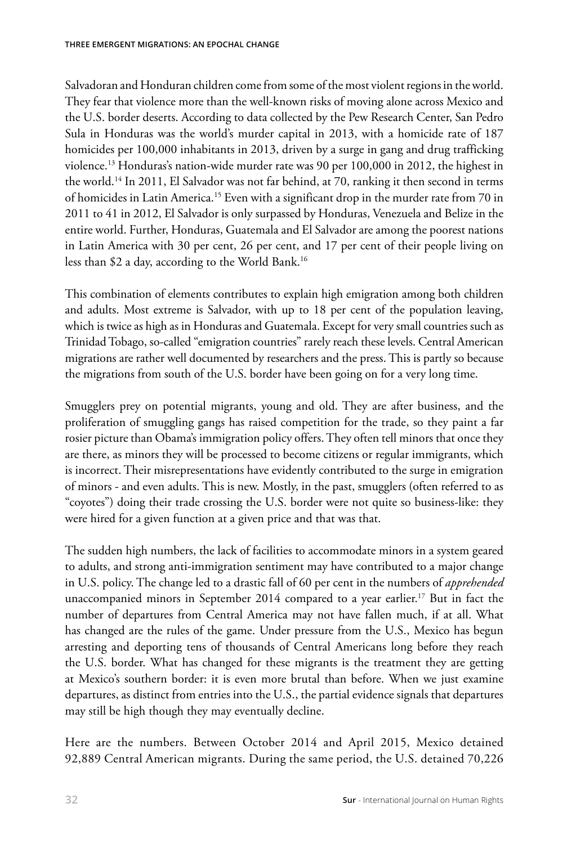Salvadoran and Honduran children come from some of the most violent regions in the world. They fear that violence more than the well-known risks of moving alone across Mexico and the U.S. border deserts. According to data collected by the Pew Research Center, San Pedro Sula in Honduras was the world's murder capital in 2013, with a homicide rate of 187 homicides per 100,000 inhabitants in 2013, driven by a surge in gang and drug trafficking violence.13 Honduras's nation-wide murder rate was 90 per 100,000 in 2012, the highest in the world.14 In 2011, El Salvador was not far behind, at 70, ranking it then second in terms of homicides in Latin America.15 Even with a significant drop in the murder rate from 70 in 2011 to 41 in 2012, El Salvador is only surpassed by Honduras, Venezuela and Belize in the entire world. Further, Honduras, Guatemala and El Salvador are among the poorest nations in Latin America with 30 per cent, 26 per cent, and 17 per cent of their people living on less than \$2 a day, according to the World Bank.16

This combination of elements contributes to explain high emigration among both children and adults. Most extreme is Salvador, with up to 18 per cent of the population leaving, which is twice as high as in Honduras and Guatemala. Except for very small countries such as Trinidad Tobago, so-called "emigration countries" rarely reach these levels. Central American migrations are rather well documented by researchers and the press. This is partly so because the migrations from south of the U.S. border have been going on for a very long time.

Smugglers prey on potential migrants, young and old. They are after business, and the proliferation of smuggling gangs has raised competition for the trade, so they paint a far rosier picture than Obama's immigration policy offers. They often tell minors that once they are there, as minors they will be processed to become citizens or regular immigrants, which is incorrect. Their misrepresentations have evidently contributed to the surge in emigration of minors - and even adults. This is new. Mostly, in the past, smugglers (often referred to as "coyotes") doing their trade crossing the U.S. border were not quite so business-like: they were hired for a given function at a given price and that was that.

The sudden high numbers, the lack of facilities to accommodate minors in a system geared to adults, and strong anti-immigration sentiment may have contributed to a major change in U.S. policy. The change led to a drastic fall of 60 per cent in the numbers of *apprehended*  unaccompanied minors in September 2014 compared to a year earlier.<sup>17</sup> But in fact the number of departures from Central America may not have fallen much, if at all. What has changed are the rules of the game. Under pressure from the U.S., Mexico has begun arresting and deporting tens of thousands of Central Americans long before they reach the U.S. border. What has changed for these migrants is the treatment they are getting at Mexico's southern border: it is even more brutal than before. When we just examine departures, as distinct from entries into the U.S., the partial evidence signals that departures may still be high though they may eventually decline.

Here are the numbers. Between October 2014 and April 2015, Mexico detained 92,889 Central American migrants. During the same period, the U.S. detained 70,226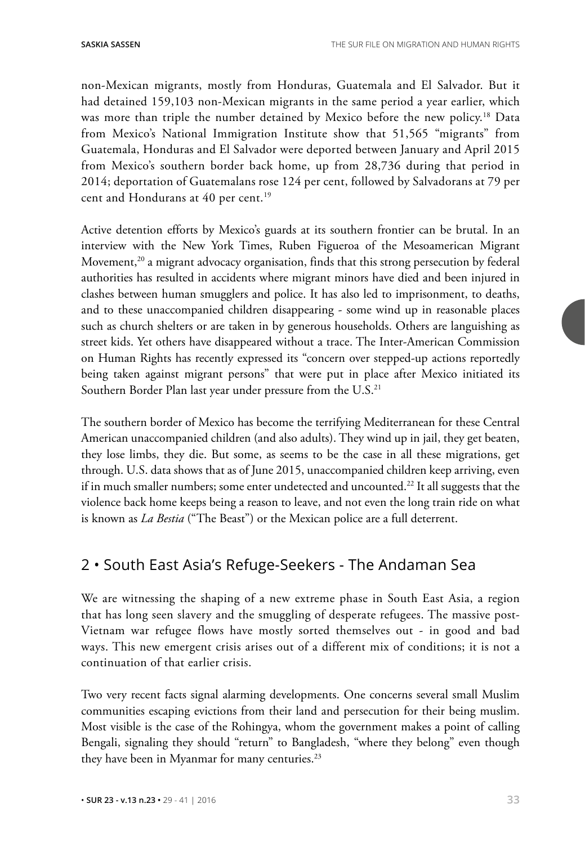non-Mexican migrants, mostly from Honduras, Guatemala and El Salvador. But it had detained 159,103 non-Mexican migrants in the same period a year earlier, which was more than triple the number detained by Mexico before the new policy.<sup>18</sup> Data from Mexico's National Immigration Institute show that 51,565 "migrants" from Guatemala, Honduras and El Salvador were deported between January and April 2015 from Mexico's southern border back home, up from 28,736 during that period in 2014; deportation of Guatemalans rose 124 per cent, followed by Salvadorans at 79 per cent and Hondurans at 40 per cent.<sup>19</sup>

Active detention efforts by Mexico's guards at its southern frontier can be brutal. In an interview with the New York Times, Ruben Figueroa of the Mesoamerican Migrant Movement,<sup>20</sup> a migrant advocacy organisation, finds that this strong persecution by federal authorities has resulted in accidents where migrant minors have died and been injured in clashes between human smugglers and police. It has also led to imprisonment, to deaths, and to these unaccompanied children disappearing - some wind up in reasonable places such as church shelters or are taken in by generous households. Others are languishing as street kids. Yet others have disappeared without a trace. The Inter-American Commission on Human Rights has recently expressed its "concern over stepped-up actions reportedly being taken against migrant persons" that were put in place after Mexico initiated its Southern Border Plan last year under pressure from the U.S.<sup>21</sup>

The southern border of Mexico has become the terrifying Mediterranean for these Central American unaccompanied children (and also adults). They wind up in jail, they get beaten, they lose limbs, they die. But some, as seems to be the case in all these migrations, get through. U.S. data shows that as of June 2015, unaccompanied children keep arriving, even if in much smaller numbers; some enter undetected and uncounted.<sup>22</sup> It all suggests that the violence back home keeps being a reason to leave, and not even the long train ride on what is known as *La Bestia* ("The Beast") or the Mexican police are a full deterrent.

# 2 • South East Asia's Refuge-Seekers - The Andaman Sea

We are witnessing the shaping of a new extreme phase in South East Asia, a region that has long seen slavery and the smuggling of desperate refugees. The massive post-Vietnam war refugee flows have mostly sorted themselves out - in good and bad ways. This new emergent crisis arises out of a different mix of conditions; it is not a continuation of that earlier crisis.

Two very recent facts signal alarming developments. One concerns several small Muslim communities escaping evictions from their land and persecution for their being muslim. Most visible is the case of the Rohingya, whom the government makes a point of calling Bengali, signaling they should "return" to Bangladesh, "where they belong" even though they have been in Myanmar for many centuries.<sup>23</sup>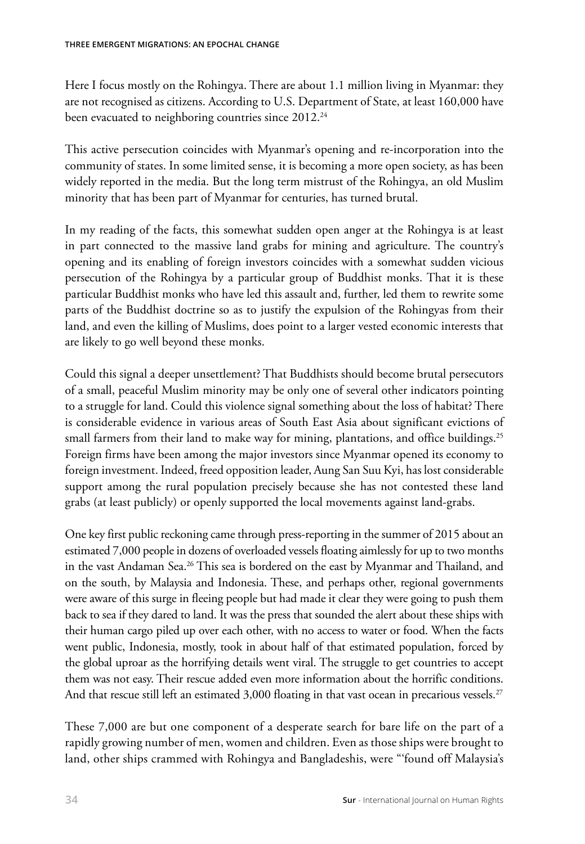Here I focus mostly on the Rohingya. There are about 1.1 million living in Myanmar: they are not recognised as citizens. According to U.S. Department of State, at least 160,000 have been evacuated to neighboring countries since 2012.<sup>24</sup>

This active persecution coincides with Myanmar's opening and re-incorporation into the community of states. In some limited sense, it is becoming a more open society, as has been widely reported in the media. But the long term mistrust of the Rohingya, an old Muslim minority that has been part of Myanmar for centuries, has turned brutal.

In my reading of the facts, this somewhat sudden open anger at the Rohingya is at least in part connected to the massive land grabs for mining and agriculture. The country's opening and its enabling of foreign investors coincides with a somewhat sudden vicious persecution of the Rohingya by a particular group of Buddhist monks. That it is these particular Buddhist monks who have led this assault and, further, led them to rewrite some parts of the Buddhist doctrine so as to justify the expulsion of the Rohingyas from their land, and even the killing of Muslims, does point to a larger vested economic interests that are likely to go well beyond these monks.

Could this signal a deeper unsettlement? That Buddhists should become brutal persecutors of a small, peaceful Muslim minority may be only one of several other indicators pointing to a struggle for land. Could this violence signal something about the loss of habitat? There is considerable evidence in various areas of South East Asia about significant evictions of small farmers from their land to make way for mining, plantations, and office buildings.<sup>25</sup> Foreign firms have been among the major investors since Myanmar opened its economy to foreign investment. Indeed, freed opposition leader, Aung San Suu Kyi, has lost considerable support among the rural population precisely because she has not contested these land grabs (at least publicly) or openly supported the local movements against land-grabs.

One key first public reckoning came through press-reporting in the summer of 2015 about an estimated 7,000 people in dozens of overloaded vessels floating aimlessly for up to two months in the vast Andaman Sea.<sup>26</sup> This sea is bordered on the east by Myanmar and Thailand, and on the south, by Malaysia and Indonesia. These, and perhaps other, regional governments were aware of this surge in fleeing people but had made it clear they were going to push them back to sea if they dared to land. It was the press that sounded the alert about these ships with their human cargo piled up over each other, with no access to water or food. When the facts went public, Indonesia, mostly, took in about half of that estimated population, forced by the global uproar as the horrifying details went viral. The struggle to get countries to accept them was not easy. Their rescue added even more information about the horrific conditions. And that rescue still left an estimated 3,000 floating in that vast ocean in precarious vessels.<sup>27</sup>

These 7,000 are but one component of a desperate search for bare life on the part of a rapidly growing number of men, women and children. Even as those ships were brought to land, other ships crammed with Rohingya and Bangladeshis, were "'found off Malaysia's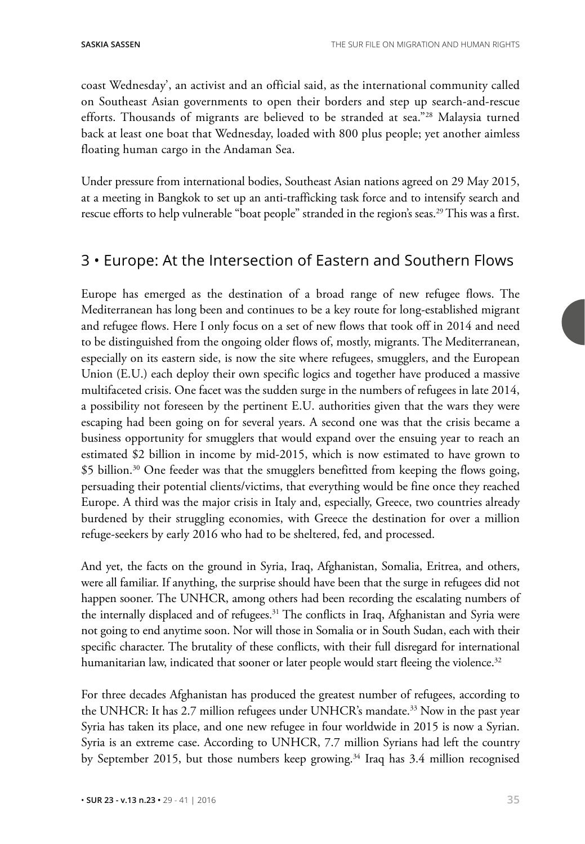coast Wednesday', an activist and an official said, as the international community called on Southeast Asian governments to open their borders and step up search-and-rescue efforts. Thousands of migrants are believed to be stranded at sea."28 Malaysia turned back at least one boat that Wednesday, loaded with 800 plus people; yet another aimless floating human cargo in the Andaman Sea.

Under pressure from international bodies, Southeast Asian nations agreed on 29 May 2015, at a meeting in Bangkok to set up an anti-trafficking task force and to intensify search and rescue efforts to help vulnerable "boat people" stranded in the region's seas.<sup>29</sup> This was a first.

# 3 • Europe: At the Intersection of Eastern and Southern Flows

Europe has emerged as the destination of a broad range of new refugee flows. The Mediterranean has long been and continues to be a key route for long-established migrant and refugee flows. Here I only focus on a set of new flows that took off in 2014 and need to be distinguished from the ongoing older flows of, mostly, migrants. The Mediterranean, especially on its eastern side, is now the site where refugees, smugglers, and the European Union (E.U.) each deploy their own specific logics and together have produced a massive multifaceted crisis. One facet was the sudden surge in the numbers of refugees in late 2014, a possibility not foreseen by the pertinent E.U. authorities given that the wars they were escaping had been going on for several years. A second one was that the crisis became a business opportunity for smugglers that would expand over the ensuing year to reach an estimated \$2 billion in income by mid-2015, which is now estimated to have grown to \$5 billion.<sup>30</sup> One feeder was that the smugglers benefitted from keeping the flows going, persuading their potential clients/victims, that everything would be fine once they reached Europe. A third was the major crisis in Italy and, especially, Greece, two countries already burdened by their struggling economies, with Greece the destination for over a million refuge-seekers by early 2016 who had to be sheltered, fed, and processed.

And yet, the facts on the ground in Syria, Iraq, Afghanistan, Somalia, Eritrea, and others, were all familiar. If anything, the surprise should have been that the surge in refugees did not happen sooner. The UNHCR, among others had been recording the escalating numbers of the internally displaced and of refugees.<sup>31</sup> The conflicts in Iraq, Afghanistan and Syria were not going to end anytime soon. Nor will those in Somalia or in South Sudan, each with their specific character. The brutality of these conflicts, with their full disregard for international humanitarian law, indicated that sooner or later people would start fleeing the violence.<sup>32</sup>

For three decades Afghanistan has produced the greatest number of refugees, according to the UNHCR: It has 2.7 million refugees under UNHCR's mandate.<sup>33</sup> Now in the past year Syria has taken its place, and one new refugee in four worldwide in 2015 is now a Syrian. Syria is an extreme case. According to UNHCR, 7.7 million Syrians had left the country by September 2015, but those numbers keep growing.<sup>34</sup> Iraq has 3.4 million recognised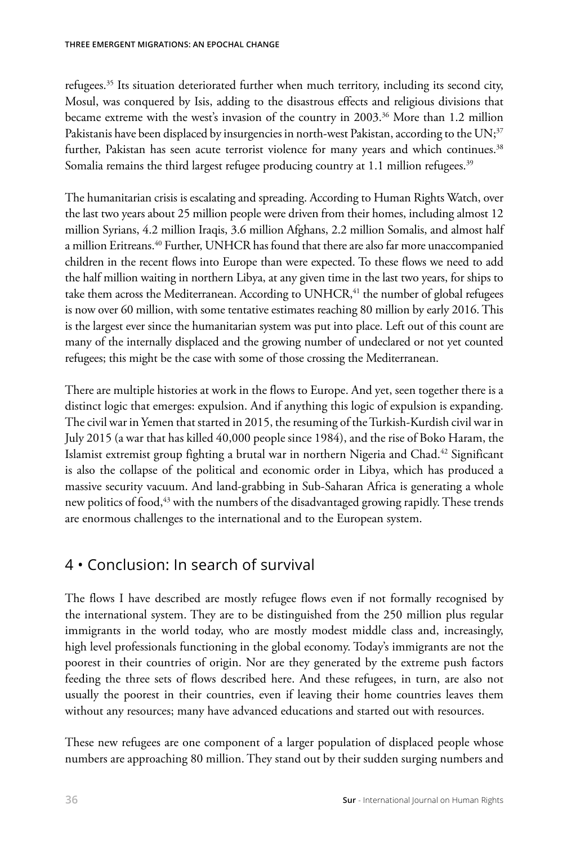refugees.35 Its situation deteriorated further when much territory, including its second city, Mosul, was conquered by Isis, adding to the disastrous effects and religious divisions that became extreme with the west's invasion of the country in 2003.<sup>36</sup> More than 1.2 million Pakistanis have been displaced by insurgencies in north-west Pakistan, according to the UN;<sup>37</sup> further, Pakistan has seen acute terrorist violence for many years and which continues.<sup>38</sup> Somalia remains the third largest refugee producing country at 1.1 million refugees.<sup>39</sup>

The humanitarian crisis is escalating and spreading. According to Human Rights Watch, over the last two years about 25 million people were driven from their homes, including almost 12 million Syrians, 4.2 million Iraqis, 3.6 million Afghans, 2.2 million Somalis, and almost half a million Eritreans.40 Further, UNHCR has found that there are also far more unaccompanied children in the recent flows into Europe than were expected. To these flows we need to add the half million waiting in northern Libya, at any given time in the last two years, for ships to take them across the Mediterranean. According to  $UNHCR<sub>1</sub><sup>41</sup>$  the number of global refugees is now over 60 million, with some tentative estimates reaching 80 million by early 2016. This is the largest ever since the humanitarian system was put into place. Left out of this count are many of the internally displaced and the growing number of undeclared or not yet counted refugees; this might be the case with some of those crossing the Mediterranean.

There are multiple histories at work in the flows to Europe. And yet, seen together there is a distinct logic that emerges: expulsion. And if anything this logic of expulsion is expanding. The civil war in Yemen that started in 2015, the resuming of the Turkish-Kurdish civil war in July 2015 (a war that has killed 40,000 people since 1984), and the rise of Boko Haram, the Islamist extremist group fighting a brutal war in northern Nigeria and Chad.42 Significant is also the collapse of the political and economic order in Libya, which has produced a massive security vacuum. And land-grabbing in Sub-Saharan Africa is generating a whole new politics of food,<sup>43</sup> with the numbers of the disadvantaged growing rapidly. These trends are enormous challenges to the international and to the European system.

# 4 • Conclusion: In search of survival

The flows I have described are mostly refugee flows even if not formally recognised by the international system. They are to be distinguished from the 250 million plus regular immigrants in the world today, who are mostly modest middle class and, increasingly, high level professionals functioning in the global economy. Today's immigrants are not the poorest in their countries of origin. Nor are they generated by the extreme push factors feeding the three sets of flows described here. And these refugees, in turn, are also not usually the poorest in their countries, even if leaving their home countries leaves them without any resources; many have advanced educations and started out with resources.

These new refugees are one component of a larger population of displaced people whose numbers are approaching 80 million. They stand out by their sudden surging numbers and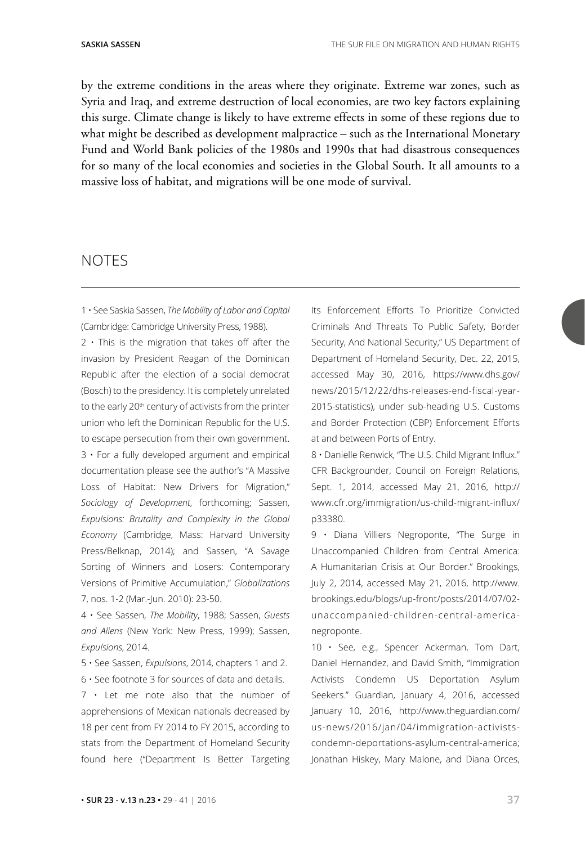by the extreme conditions in the areas where they originate. Extreme war zones, such as Syria and Iraq, and extreme destruction of local economies, are two key factors explaining this surge. Climate change is likely to have extreme effects in some of these regions due to what might be described as development malpractice – such as the International Monetary Fund and World Bank policies of the 1980s and 1990s that had disastrous consequences for so many of the local economies and societies in the Global South. It all amounts to a massive loss of habitat, and migrations will be one mode of survival.

### **NOTES**

1 • See Saskia Sassen, *The Mobility of Labor and Capital* (Cambridge: Cambridge University Press, 1988).

 $2 \cdot$  This is the migration that takes off after the invasion by President Reagan of the Dominican Republic after the election of a social democrat (Bosch) to the presidency. It is completely unrelated to the early 20<sup>th</sup> century of activists from the printer union who left the Dominican Republic for the U.S. to escape persecution from their own government.  $3 \cdot$  For a fully developed argument and empirical documentation please see the author's "A Massive Loss of Habitat: New Drivers for Migration," *Sociology of Development*, forthcoming; Sassen, *Expulsions: Brutality and Complexity in the Global Economy* (Cambridge, Mass: Harvard University Press/Belknap, 2014); and Sassen, "A Savage Sorting of Winners and Losers: Contemporary Versions of Primitive Accumulation," *Globalizations* 7, nos. 1-2 (Mar.-Jun. 2010): 23-50.

4 • See Sassen, *The Mobility*, 1988; Sassen, *Guests and Aliens* (New York: New Press, 1999); Sassen, *Expulsions*, 2014.

5 • See Sassen, *Expulsions*, 2014, chapters 1 and 2. 6 • See footnote 3 for sources of data and details.

7 • Let me note also that the number of apprehensions of Mexican nationals decreased by 18 per cent from FY 2014 to FY 2015, according to stats from the Department of Homeland Security found here ("Department Is Better Targeting

Its Enforcement Efforts To Prioritize Convicted Criminals And Threats To Public Safety, Border Security, And National Security," US Department of Department of Homeland Security, Dec. 22, 2015, accessed May 30, 2016, https://www.dhs.gov/ news/2015/12/22/dhs-releases-end-fiscal-year-2015-statistics), under sub-heading U.S. Customs and Border Protection (CBP) Enforcement Efforts at and between Ports of Entry.

8 • Danielle Renwick, "The U.S. Child Migrant Influx." CFR Backgrounder, Council on Foreign Relations, Sept. 1, 2014, accessed May 21, 2016, [http://](http://www.cfr.org/immigration/us-child-migrant-influx/p33380) [www.cfr.org/immigration/us-child-migrant-influx/](http://www.cfr.org/immigration/us-child-migrant-influx/p33380) [p33380.](http://www.cfr.org/immigration/us-child-migrant-influx/p33380)

9 • Diana Villiers Negroponte, "The Surge in Unaccompanied Children from Central America: A Humanitarian Crisis at Our Border." Brookings, July 2, 2014, accessed May 21, 2016, [http://www.](http://www.brookings.edu/blogs/up-front/posts/2014/07/02-unaccompanied-children-central-america-negroponte) [brookings.edu/blogs/up-front/posts/2014/07/02](http://www.brookings.edu/blogs/up-front/posts/2014/07/02-unaccompanied-children-central-america-negroponte) [unaccompanied-children-central-america](http://www.brookings.edu/blogs/up-front/posts/2014/07/02-unaccompanied-children-central-america-negroponte)[negroponte.](http://www.brookings.edu/blogs/up-front/posts/2014/07/02-unaccompanied-children-central-america-negroponte)

10 · See, e.g., Spencer Ackerman, Tom Dart, Daniel Hernandez, and David Smith, "Immigration Activists Condemn US Deportation Asylum Seekers." Guardian, January 4, 2016, accessed January 10, 2016, [http://www.theguardian.com/](https://www.theguardian.com/us-news/2016/jan/04/immigration-activists-condemn-deportations-asylum-central-america) [us-news/2016/jan/04/immigration-activists](https://www.theguardian.com/us-news/2016/jan/04/immigration-activists-condemn-deportations-asylum-central-america)[condemn-deportations-asylum-central-america;](https://www.theguardian.com/us-news/2016/jan/04/immigration-activists-condemn-deportations-asylum-central-america) Jonathan Hiskey, Mary Malone, and Diana Orces,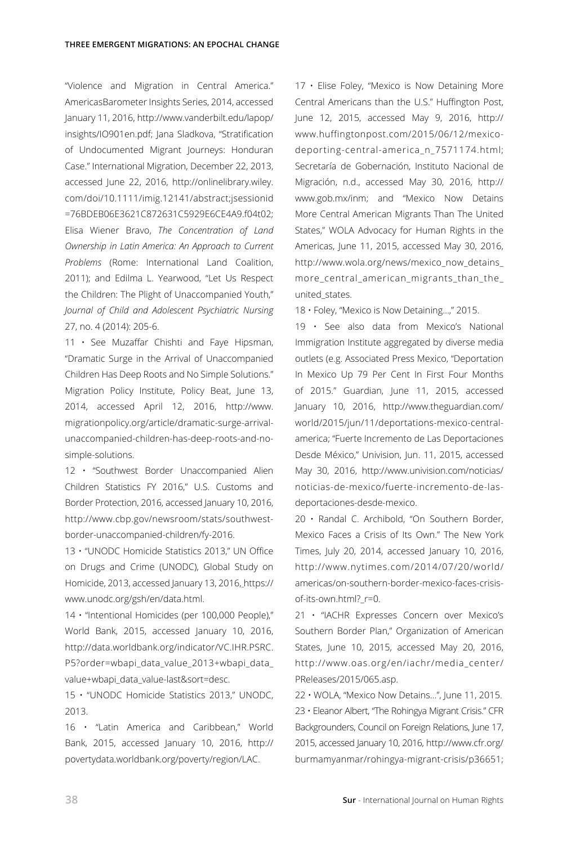"Violence and Migration in Central America." AmericasBarometer Insights Series, 2014, accessed January 11, 2016, http://www.vanderbilt.edu/lapop/ insights/IO901en.pdf; Jana Sladkova, "Stratification of Undocumented Migrant Journeys: Honduran Case." International Migration, December 22, 2013, accessed June 22, 2016, [http://onlinelibrary.wiley.](http://onlinelibrary.wiley.com/doi/10.1111/imig.12141/abstract;jsessionid%20=76BDEB06E3621C872631C5929E6CE4A9.f04t02) [com/doi/10.1111/imig.12141/abstract;jsessionid](http://onlinelibrary.wiley.com/doi/10.1111/imig.12141/abstract;jsessionid%20=76BDEB06E3621C872631C5929E6CE4A9.f04t02)  [=76BDEB06E3621C872631C5929E6CE4A9.f04t02;](http://onlinelibrary.wiley.com/doi/10.1111/imig.12141/abstract;jsessionid%20=76BDEB06E3621C872631C5929E6CE4A9.f04t02) Elisa Wiener Bravo, *The Concentration of Land Ownership in Latin America: An Approach to Current Problems* (Rome: International Land Coalition, 2011); and Edilma L. Yearwood, "Let Us Respect the Children: The Plight of Unaccompanied Youth," *Journal of Child and Adolescent Psychiatric Nursing* 27, no. 4 (2014): 205-6.

11 • See Muzaffar Chishti and Faye Hipsman, "Dramatic Surge in the Arrival of Unaccompanied Children Has Deep Roots and No Simple Solutions." Migration Policy Institute, Policy Beat, June 13, 2014, accessed April 12, 2016, [http://www.](http://www.migrationpolicy.org/article/dramatic-surge-arrival-unaccompanied-children-has-deep-roots-and-no-simple-solutions) [migrationpolicy.org/article/dramatic-surge-arrival](http://www.migrationpolicy.org/article/dramatic-surge-arrival-unaccompanied-children-has-deep-roots-and-no-simple-solutions)[unaccompanied-children-has-deep-roots-and-no](http://www.migrationpolicy.org/article/dramatic-surge-arrival-unaccompanied-children-has-deep-roots-and-no-simple-solutions)[simple-solutions](http://www.migrationpolicy.org/article/dramatic-surge-arrival-unaccompanied-children-has-deep-roots-and-no-simple-solutions).

12 • "Southwest Border Unaccompanied Alien Children Statistics FY 2016," U.S. Customs and Border Protection, 2016, accessed January 10, 2016, [http://www.cbp.gov/newsroom/stats/southwest](http://www.cbp.gov/newsroom/stats/southwest-border-unaccompanied-children/fy-2016)[border-unaccompanied-children/fy-2016](http://www.cbp.gov/newsroom/stats/southwest-border-unaccompanied-children/fy-2016).

13 • "UNODC Homicide Statistics 2013," UN Office on Drugs and Crime (UNODC), Global Study on Homicide, 2013, accessed January 13, 2016, [https://](https://www.unodc.org/gsh/en/data.html) [www.unodc.org/gsh/en/data.html.](https://www.unodc.org/gsh/en/data.html)

14 • "Intentional Homicides (per 100,000 People)," World Bank, 2015, accessed January 10, 2016, [http://data.worldbank.org/indicator/VC.IHR.PSRC.](http://data.worldbank.org/indicator/VC.IHR.PSRC.P5?order=wbapi_data_value_2013+wbapi_data_value+wbapi_data_value-last&sort=desc) [P5?order=wbapi\\_data\\_value\\_2013+wbapi\\_data\\_](http://data.worldbank.org/indicator/VC.IHR.PSRC.P5?order=wbapi_data_value_2013+wbapi_data_value+wbapi_data_value-last&sort=desc) [value+wbapi\\_data\\_value-last&sort=desc.](http://data.worldbank.org/indicator/VC.IHR.PSRC.P5?order=wbapi_data_value_2013+wbapi_data_value+wbapi_data_value-last&sort=desc)

15 • "UNODC Homicide Statistics 2013," UNODC, 2013.

16 • "Latin America and Caribbean," [World](http://povertydata.worldbank.org/poverty/region/LAC)  [Bank, 2015, accessed January 10, 2016, http://](http://povertydata.worldbank.org/poverty/region/LAC) [povertydata.worldbank.org/poverty/region/LAC](http://povertydata.worldbank.org/poverty/region/LAC).

17 • Elise Foley, "Mexico is Now Detaining More Central Americans than the U.S." Huffington Post, June 12, 2015, accessed May 9, 2016, [http://](http://www.huffingtonpost.com/2015/06/12/mexico-deporting-central-america_n_7571174.html) [www.huffingtonpost.com/2015/06/12/mexico](http://www.huffingtonpost.com/2015/06/12/mexico-deporting-central-america_n_7571174.html)[deporting-central-america\\_n\\_7571174.html](http://www.huffingtonpost.com/2015/06/12/mexico-deporting-central-america_n_7571174.html); Secretaría de Gobernación, Instituto Nacional de Migración, n.d., accessed May 30, 2016, [http://](http://www.gob.mx/inm) [www.gob.mx/inm;](http://www.gob.mx/inm) and "Mexico Now Detains More Central American Migrants Than The United States," WOLA Advocacy for Human Rights in the Americas, June 11, 2015, accessed May 30, 2016, [http://www.wola.org/news/mexico\\_now\\_detains\\_](http://www.wola.org/news/mexico_now_detains_more_central_american_migrants_than_the_united_states) [more\\_central\\_american\\_migrants\\_than\\_the\\_](http://www.wola.org/news/mexico_now_detains_more_central_american_migrants_than_the_united_states) [united\\_states](http://www.wola.org/news/mexico_now_detains_more_central_american_migrants_than_the_united_states).

18 • Foley, "Mexico is Now Detaining…," 2015.

19 • See also data from Mexico's National Immigration Institute aggregated by diverse media outlets (e.g. Associated Press Mexico, "Deportation In Mexico Up 79 Per Cent In First Four Months of 2015." Guardian, June 11, 2015, accessed January 10, 2016, [http://www.theguardian.com/](http://www.theguardian.com/world/2015/jun/11/deportations-mexico-central-america) [world/2015/jun/11/deportations-mexico-central](http://www.theguardian.com/world/2015/jun/11/deportations-mexico-central-america)[america](http://www.theguardian.com/world/2015/jun/11/deportations-mexico-central-america); "Fuerte Incremento de Las Deportaciones Desde México," Univision, Jun. 11, 2015, accessed May 30, 2016, [http://www.univision.com/noticias/](http://www.univision.com/noticias/noticias-de-mexico/fuerte-incremento-de-las-deportaciones-desde-mexico) [noticias-de-mexico/fuerte-incremento-de-las](http://www.univision.com/noticias/noticias-de-mexico/fuerte-incremento-de-las-deportaciones-desde-mexico)[deportaciones-desde-mexico](http://www.univision.com/noticias/noticias-de-mexico/fuerte-incremento-de-las-deportaciones-desde-mexico).

20 • Randal C. Archibold, "On Southern Border, Mexico Faces a Crisis of Its Own." The New York Times, July 20, 2014, accessed January 10, 2016, [http://www.nytimes.com/2014/07/20/world/](http://www.nytimes.com/2014/07/20/world/americas/on-southern-border-mexico-faces-crisis-of-its-own.html?_r=0) [americas/on-southern-border-mexico-faces-crisis](http://www.nytimes.com/2014/07/20/world/americas/on-southern-border-mexico-faces-crisis-of-its-own.html?_r=0)[of-its-own.html?\\_r=0](http://www.nytimes.com/2014/07/20/world/americas/on-southern-border-mexico-faces-crisis-of-its-own.html?_r=0).

21 • "IACHR Expresses Concern over Mexico's Southern Border Plan," Organization of American States, June 10, 2015, accessed May 20, 2016, http://www.oas.org/en/iachr/media\_center/ PReleases/2015/065.asp.

22 • WOLA, "Mexico Now Detains…", June 11, 2015. 23 • Eleanor Albert, "The Rohingya Migrant Crisis." CFR Backgrounders, Council on Foreign Relations, June 17, 2015, accessed January 10, 2016, [http://www.cfr.org/](http://www.cfr.org/burmamyanmar/rohingya-migrant-crisis/p36651) [burmamyanmar/rohingya-migrant-crisis/p36651](http://www.cfr.org/burmamyanmar/rohingya-migrant-crisis/p36651);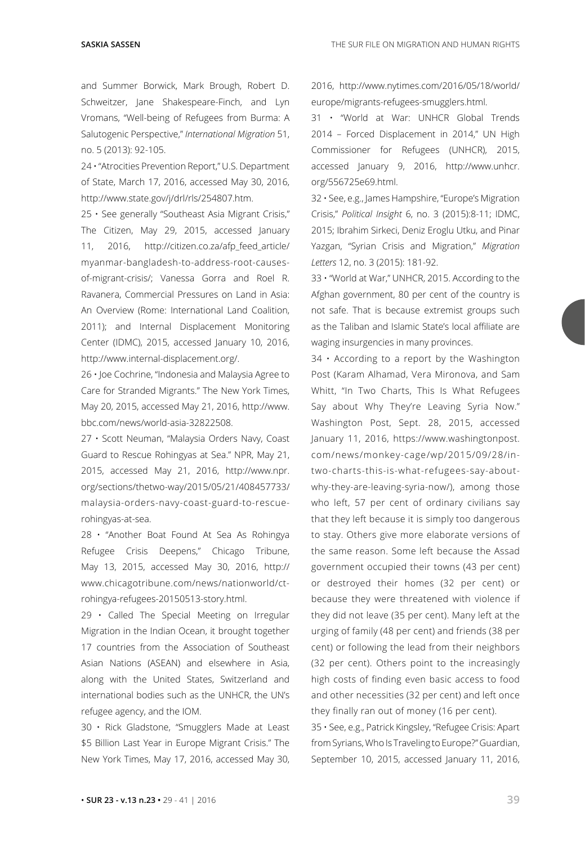and Summer Borwick, Mark Brough, Robert D. Schweitzer, Jane Shakespeare-Finch, and Lyn Vromans, "Well-being of Refugees from Burma: A Salutogenic Perspective," *International Migration* 51, no. 5 (2013): 92-105.

24 • "Atrocities Prevention Report," U.S. Department of State, March 17, 2016, accessed May 30, 2016, http://www.state.gov/j/drl/rls/254807.htm.

25 • See generally "Southeast Asia Migrant Crisis," The Citizen, May 29, 2015, accessed January 11, 2016, [http://citizen.co.za/afp\\_feed\\_article/](http://citizen.co.za/afp_feed_article/myanmar-bangladesh-to-address-root-causes-of-migrant-crisis/) [myanmar-bangladesh-to-address-root-causes](http://citizen.co.za/afp_feed_article/myanmar-bangladesh-to-address-root-causes-of-migrant-crisis/)[of-migrant-crisis/;](http://citizen.co.za/afp_feed_article/myanmar-bangladesh-to-address-root-causes-of-migrant-crisis/) Vanessa Gorra and Roel R. Ravanera, Commercial Pressures on Land in Asia: An Overview (Rome: International Land Coalition, 2011); and Internal Displacement Monitoring Center (IDMC), 2015, accessed January 10, 2016, <http://www.internal-displacement.org/>.

26 • Joe Cochrine, "Indonesia and Malaysia Agree to Care for Stranded Migrants." The New York Times, May 20, 2015, accessed May 21, 2016, [http://www.](http://www.bbc.com/news/world-asia-32822508) [bbc.com/news/world-asia-32822508.](http://www.bbc.com/news/world-asia-32822508)

27 • Scott Neuman, "Malaysia Orders Navy, Coast Guard to Rescue Rohingyas at Sea." NPR, May 21, 2015, accessed May 21, 2016, [http://www.npr.](http://www.npr.org/sections/thetwo-way/2015/05/21/408457733/malaysia-orders-navy-coast-guard-to-rescue-rohingyas-at-sea) [org/sections/thetwo-way/2015/05/21/408457733/](http://www.npr.org/sections/thetwo-way/2015/05/21/408457733/malaysia-orders-navy-coast-guard-to-rescue-rohingyas-at-sea) [malaysia-orders-navy-coast-guard-to-rescue](http://www.npr.org/sections/thetwo-way/2015/05/21/408457733/malaysia-orders-navy-coast-guard-to-rescue-rohingyas-at-sea)[rohingyas-at-sea](http://www.npr.org/sections/thetwo-way/2015/05/21/408457733/malaysia-orders-navy-coast-guard-to-rescue-rohingyas-at-sea).

28 • "Another Boat Found At Sea As Rohingya Refugee Crisis Deepens," Chicago Tribune, May 13, 2015, accessed May 30, 2016, [http://](http://www.chicagotribune.com/news/nationworld/ct-rohingya-refugees-20150513-story.html) [www.chicagotribune.com/news/nationworld/ct](http://www.chicagotribune.com/news/nationworld/ct-rohingya-refugees-20150513-story.html)[rohingya-refugees-20150513-story.html.](http://www.chicagotribune.com/news/nationworld/ct-rohingya-refugees-20150513-story.html)

29 • Called The Special Meeting on Irregular Migration in the Indian Ocean, it brought together 17 countries from the Association of Southeast Asian Nations (ASEAN) and elsewhere in Asia, along with the United States, Switzerland and international bodies such as the UNHCR, the UN's refugee agency, and the IOM.

30 • Rick Gladstone, "Smugglers Made at Least \$5 Billion Last Year in Europe Migrant Crisis." The New York Times, May 17, 2016, accessed May 30,

2016, [http://www.nytimes.com/2016/05/18/world/](http://www.nytimes.com/2016/05/18/world/europe/migrants-refugees-smugglers.html) [europe/migrants-refugees-smugglers.html.](http://www.nytimes.com/2016/05/18/world/europe/migrants-refugees-smugglers.html)

31 • "World at War: UNHCR Global Trends 2014 – Forced Displacement in 2014," UN High Commissioner for Refugees (UNHCR), 2015, accessed January 9, 2016, [http://www.unhcr.](http://www.unhcr.org/556725e69.html) [org/556725e69.html](http://www.unhcr.org/556725e69.html).

32 • See, e.g., James Hampshire, "Europe's Migration Crisis," *Political Insight* 6, no. 3 (2015):8-11; IDMC, 2015; Ibrahim Sirkeci, Deniz Eroglu Utku, and Pinar Yazgan, "Syrian Crisis and Migration," *Migration Letters* 12, no. 3 (2015): 181-92.

33 • "World at War," UNHCR, 2015. According to the Afghan government, 80 per cent of the country is not safe. That is because extremist groups such as the Taliban and Islamic State's local affiliate are waging insurgencies in many provinces.

34 • According to a report by the Washington Post (Karam Alhamad, Vera Mironova, and Sam Whitt, "In Two Charts, This Is What Refugees Say about Why They're Leaving Syria Now." Washington Post, Sept. 28, 2015, accessed January 11, 2016, [https://www.washingtonpost.](https://www.washingtonpost.com/blogs/monkey-cage/wp/2015/09/28/in-two-charts-this-is-what-refugees-say-about-why-they-are-leaving-syria-now/) [com/news/monkey-cage/wp/2015/09/28/in](https://www.washingtonpost.com/blogs/monkey-cage/wp/2015/09/28/in-two-charts-this-is-what-refugees-say-about-why-they-are-leaving-syria-now/)[two-charts-this-is-what-refugees-say-about](https://www.washingtonpost.com/blogs/monkey-cage/wp/2015/09/28/in-two-charts-this-is-what-refugees-say-about-why-they-are-leaving-syria-now/)[why-they-are-leaving-syria-now/\)](https://www.washingtonpost.com/blogs/monkey-cage/wp/2015/09/28/in-two-charts-this-is-what-refugees-say-about-why-they-are-leaving-syria-now/), among those who left, 57 per cent of ordinary civilians say that they left because it is simply too dangerous to stay. Others give more elaborate versions of the same reason. Some left because the Assad government occupied their towns (43 per cent) or destroyed their homes (32 per cent) or because they were threatened with violence if they did not leave (35 per cent). Many left at the urging of family (48 per cent) and friends (38 per cent) or following the lead from their neighbors (32 per cent). Others point to the increasingly high costs of finding even basic access to food and other necessities (32 per cent) and left once they finally ran out of money (16 per cent).

35 • See, e.g., Patrick Kingsley, "Refugee Crisis: Apart from Syrians, Who Is Traveling to Europe?" Guardian, September 10, 2015, accessed January 11, 2016,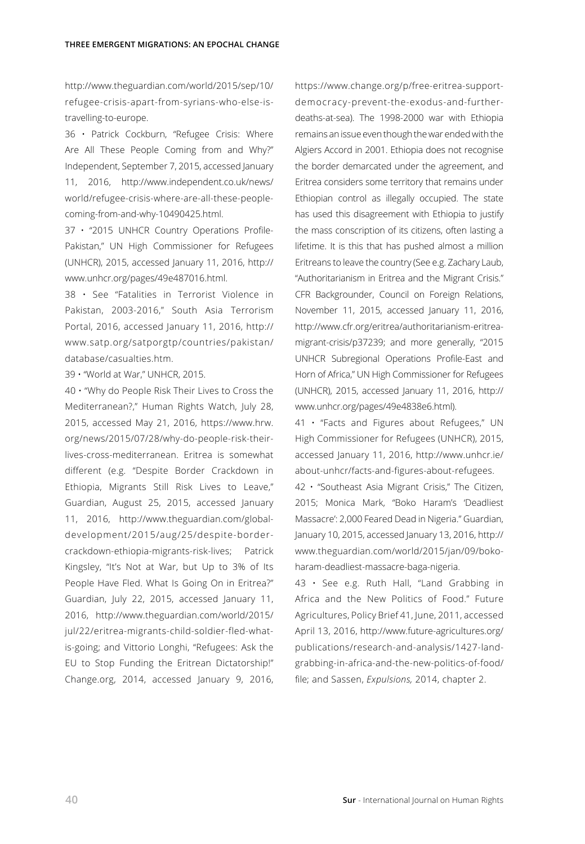[http://www.theguardian.com/world/2015/sep/10/](http://www.theguardian.com/world/2015/sep/10/refugee-crisis-apart-from-syrians-who-else-is-travelling-to-europe) [refugee-crisis-apart-from-syrians-who-else-is](http://www.theguardian.com/world/2015/sep/10/refugee-crisis-apart-from-syrians-who-else-is-travelling-to-europe)[travelling-to-europe.](http://www.theguardian.com/world/2015/sep/10/refugee-crisis-apart-from-syrians-who-else-is-travelling-to-europe)

36 • Patrick Cockburn, "Refugee Crisis: Where Are All These People Coming from and Why?" Independent, September 7, 2015, accessed January 11, 2016, [http://www.independent.co.uk/news/](http://www.independent.co.uk/news/world/refugee-crisis-where-are-all-these-people-coming-from-and-why-10490425.html) [world/refugee-crisis-where-are-all-these-people](http://www.independent.co.uk/news/world/refugee-crisis-where-are-all-these-people-coming-from-and-why-10490425.html)[coming-from-and-why-10490425.html](http://www.independent.co.uk/news/world/refugee-crisis-where-are-all-these-people-coming-from-and-why-10490425.html).

37 • "2015 UNHCR Country Operations Profile-Pakistan," UN High Commissioner for Refugees (UNHCR), 2015, accessed January 11, 2016, [http://](http://www.unhcr.org/pages/49e487016.html) [www.unhcr.org/pages/49e487016.html.](http://www.unhcr.org/pages/49e487016.html)

38 • See "Fatalities in Terrorist Violence in Pakistan, 2003-2016," South Asia Terrorism Portal, 2016, accessed January 11, 2016, [http://](http://www.satp.org/satporgtp/countries/pakistan/database/casualties.htm) [www.satp.org/satporgtp/countries/pakistan/](http://www.satp.org/satporgtp/countries/pakistan/database/casualties.htm) [database/casualties.htm](http://www.satp.org/satporgtp/countries/pakistan/database/casualties.htm).

39 • "World at War," UNHCR, 2015.

40 • "Why do People Risk Their Lives to Cross the Mediterranean?," Human Rights Watch, July 28, 2015, accessed May 21, 2016, [https://www.hrw.](https://www.hrw.org/news/2015/07/28/why-do-people-risk-their-lives-cross-mediterranean) [org/news/2015/07/28/why-do-people-risk-their](https://www.hrw.org/news/2015/07/28/why-do-people-risk-their-lives-cross-mediterranean)[lives-cross-mediterranean.](https://www.hrw.org/news/2015/07/28/why-do-people-risk-their-lives-cross-mediterranean) Eritrea is somewhat different (e.g. "Despite Border Crackdown in Ethiopia, Migrants Still Risk Lives to Leave," Guardian, August 25, 2015, accessed January 11, 2016, [http://www.theguardian.com/global](https://www.theguardian.com/global-development/2015/aug/25/despite-border-crackdown-ethiopia-migrants-risk-lives)[development/2015/aug/25/despite-border](https://www.theguardian.com/global-development/2015/aug/25/despite-border-crackdown-ethiopia-migrants-risk-lives)[crackdown-ethiopia-migrants-risk-lives](https://www.theguardian.com/global-development/2015/aug/25/despite-border-crackdown-ethiopia-migrants-risk-lives); Patrick Kingsley, "It's Not at War, but Up to 3% of Its People Have Fled. What Is Going On in Eritrea?" Guardian, July 22, 2015, accessed January 11, 2016, http://www.theguardian.com/world/2015/ jul/22/eritrea-migrants-child-soldier-fled-whatis-going; and Vittorio Longhi, "Refugees: Ask the EU to Stop Funding the Eritrean Dictatorship!" Change.org, 2014, accessed January 9, 2016,

[https://www.change.org/p/free-eritrea-support](https://www.change.org/p/free-eritrea-support-democracy-prevent-the-exodus-and-further-deaths-at-sea)[democracy-prevent-the-exodus-and-further](https://www.change.org/p/free-eritrea-support-democracy-prevent-the-exodus-and-further-deaths-at-sea)[deaths-at-sea](https://www.change.org/p/free-eritrea-support-democracy-prevent-the-exodus-and-further-deaths-at-sea)). The 1998-2000 war with Ethiopia remains an issue even though the war ended with the Algiers Accord in 2001. Ethiopia does not recognise the border demarcated under the agreement, and Eritrea considers some territory that remains under Ethiopian control as illegally occupied. The state has used this disagreement with Ethiopia to justify the mass conscription of its citizens, often lasting a lifetime. It is this that has pushed almost a million Eritreans to leave the country (See e.g. Zachary Laub, "Authoritarianism in Eritrea and the Migrant Crisis." CFR Backgrounder, Council on Foreign Relations, November 11, 2015, accessed January 11, 2016, [http://www.cfr.org/eritrea/authoritarianism-eritrea](http://www.cfr.org/eritrea/authoritarianism-eritrea-migrant-crisis/p37239)[migrant-crisis/p37239](http://www.cfr.org/eritrea/authoritarianism-eritrea-migrant-crisis/p37239); and more generally, "2015 UNHCR Subregional Operations Profile-East and Horn of Africa," UN High Commissioner for Refugees (UNHCR), 2015, accessed January 11, 2016, [http://](http://www.unhcr.org/pages/49e4838e6.html) [www.unhcr.org/pages/49e4838e6.html\)](http://www.unhcr.org/pages/49e4838e6.html).

41 • "Facts and Figures about Refugees," UN High Commissioner for Refugees (UNHCR), 2015, accessed January 11, 2016, http://www.unhcr.ie/ about-unhcr/facts-and-figures-about-refugees.

42 • "Southeast Asia Migrant Crisis," The Citizen, 2015; Monica Mark, "Boko Haram's 'Deadliest Massacre': 2,000 Feared Dead in Nigeria." Guardian, January 10, 2015, accessed January 13, 2016[, http://](https://www.theguardian.com/world/2015/jan/09/boko-haram-deadliest-massacre-baga-nigeria) [www.theguardian.com/world/2015/jan/09/boko](https://www.theguardian.com/world/2015/jan/09/boko-haram-deadliest-massacre-baga-nigeria)[haram-deadliest-massacre-baga-nigeria.](https://www.theguardian.com/world/2015/jan/09/boko-haram-deadliest-massacre-baga-nigeria)

43 • See e.g. Ruth Hall, "Land Grabbing in Africa and the New Politics of Food." Future Agricultures, Policy Brief 41, June, 2011, accessed April 13, 2016, [http://www.future-agricultures.org/](http://www.future-agricultures.org/publications/research-and-analysis/1427-land-grabbing-in-africa-and-the-new-politics-of-food/file) [publications/research-and-analysis/1427-land](http://www.future-agricultures.org/publications/research-and-analysis/1427-land-grabbing-in-africa-and-the-new-politics-of-food/file)[grabbing-in-africa-and-the-new-politics-of-food/](http://www.future-agricultures.org/publications/research-and-analysis/1427-land-grabbing-in-africa-and-the-new-politics-of-food/file) [file;](http://www.future-agricultures.org/publications/research-and-analysis/1427-land-grabbing-in-africa-and-the-new-politics-of-food/file) and Sassen, *Expulsions,* 2014, chapter 2.